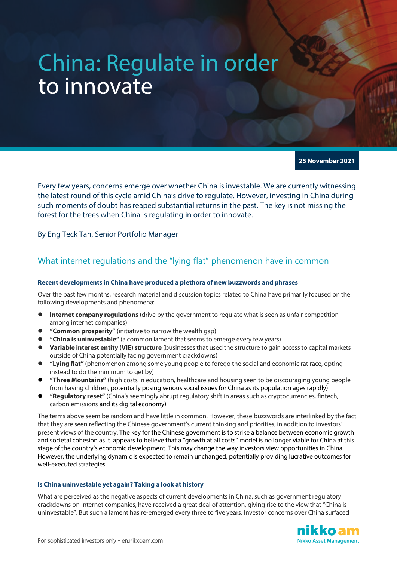# China: Regulate in order to innovate

**25 November 2021**

Every few years, concerns emerge over whether China is investable. We are currently witnessing the latest round of this cycle amid China's drive to regulate. However, investing in China during such moments of doubt has reaped substantial returns in the past. The key is not missing the forest for the trees when China is regulating in order to innovate.

By Eng Teck Tan, Senior Portfolio Manager

## What internet regulations and the "lying flat" phenomenon have in common

#### **Recent developments in China have produced a plethora of new buzzwords and phrases**

Over the past few months, research material and discussion topics related to China have primarily focused on the following developments and phenomena:

- **Internet company regulations** (drive by the government to regulate what is seen as unfair competition among internet companies)
- **"Common prosperity"** (initiative to narrow the wealth gap)
- **"China is uninvestable"** (a common lament that seems to emerge every few years)
- **Variable interest entity (VIE) structure** (businesses that used the structure to gain access to capital markets outside of China potentially facing government crackdowns)
- **"Lying flat"** (phenomenon among some young people to forego the social and economic rat race, opting instead to do the minimum to get by)
- **"Three Mountains"** (high costs in education, healthcare and housing seen to be discouraging young people from having children, potentially posing serious social issues for China as its population ages rapidly)
- **"Regulatory reset"** (China's seemingly abrupt regulatory shift in areas such as cryptocurrencies, fintech, carbon emissions and its digital economy)

The terms above seem be random and have little in common. However, these buzzwords are interlinked by the fact that they are seen reflecting the Chinese government's current thinking and priorities, in addition to investors' present views of the country. The key for the Chinese government is to strike a balance between economic growth and societal cohesion as it appears to believe that a "growth at all costs" model is no longer viable for China at this stage of the country's economic development. This may change the way investors view opportunities in China. However, the underlying dynamic is expected to remain unchanged, potentially providing lucrative outcomes for well-executed strategies.

#### **Is China uninvestable yet again? Taking a look at history**

What are perceived as the negative aspects of current developments in China, such as government regulatory crackdowns on internet companies, have received a great deal of attention, giving rise to the view that "China is uninvestable". But such a lament has re-emerged every three to five years. Investor concerns over China surfaced

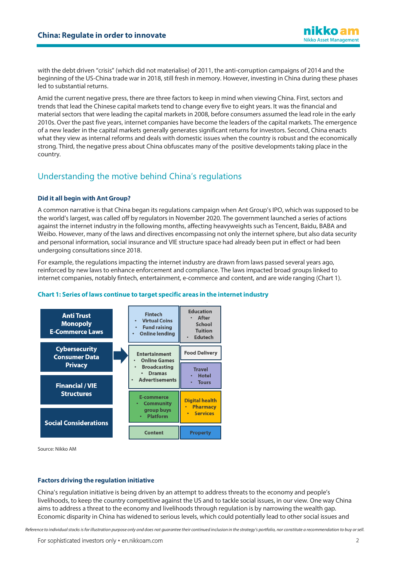with the debt driven "crisis" (which did not materialise) of 2011, the anti-corruption campaigns of 2014 and the beginning of the US-China trade war in 2018, still fresh in memory. However, investing in China during these phases led to substantial returns.

Amid the current negative press, there are three factors to keep in mind when viewing China. First, sectors and trends that lead the Chinese capital markets tend to change every five to eight years. It was the financial and material sectors that were leading the capital markets in 2008, before consumers assumed the lead role in the early 2010s. Over the past five years, internet companies have become the leaders of the capital markets. The emergence of a new leader in the capital markets generally generates significant returns for investors. Second, China enacts what they view as internal reforms and deals with domestic issues when the country is robust and the economically strong. Third, the negative press about China obfuscates many of the positive developments taking place in the country.

## Understanding the motive behind China's regulations

### **Did it all begin with Ant Group?**

A common narrative is that China began its regulations campaign when Ant Group's IPO, which was supposed to be the world's largest, was called off by regulators in November 2020. The government launched a series of actions against the internet industry in the following months, affecting heavyweights such as Tencent, Baidu, BABA and Weibo. However, many of the laws and directives encompassing not only the internet sphere, but also data security and personal information, social insurance and VIE structure space had already been put in effect or had been undergoing consultations since 2018.

For example, the regulations impacting the internet industry are drawn from laws passed several years ago, reinforced by new laws to enhance enforcement and compliance. The laws impacted broad groups linked to internet companies, notably fintech, entertainment, e-commerce and content, and are wide ranging (Chart 1).



#### **Chart 1: Series of laws continue to target specific areas in the internetindustry**

Source: Nikko AM

#### **Factors driving the regulation initiative**

China's regulation initiative is being driven by an attempt to address threats to the economy and people's livelihoods, to keep the country competitive against the US and to tackle social issues, in our view. One way China aims to address a threat to the economy and livelihoods through regulation is by narrowing the wealth gap. Economic disparity in China has widened to serious levels, which could potentially lead to other social issues and

*Reference to individual stocks is for illustration purpose only and does not guarantee their continued inclusion in the strategy's portfolio, nor constitute a recommendation to buy or sell.*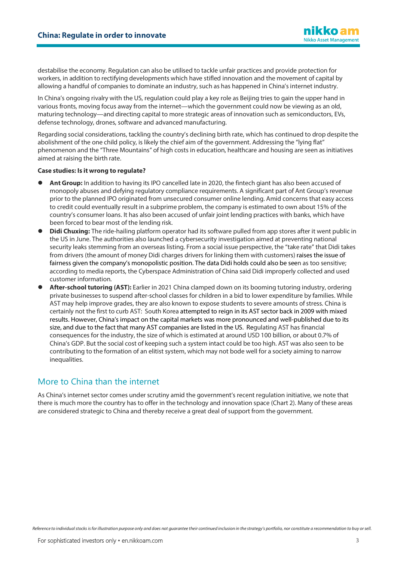destabilise the economy. Regulation can also be utilised to tackle unfair practices and provide protection for workers, in addition to rectifying developments which have stifled innovation and the movement of capital by allowing a handful of companies to dominate an industry, such as has happened in China's internet industry.

In China's ongoing rivalry with the US, regulation could play a key role as Beijing tries to gain the upper hand in various fronts, moving focus away from the internet—which the government could now be viewing as an old, maturing technology—and directing capital to more strategic areas of innovation such as semiconductors, EVs, defense technology, drones, software and advanced manufacturing.

Regarding social considerations, tackling the country's declining birth rate, which has continued to drop despite the abolishment of the one child policy, is likely the chief aim of the government. Addressing the "lying flat" phenomenon and the "Three Mountains" of high costs in education, healthcare and housing are seen as initiatives aimed at raising the birth rate.

#### **Case studies: Is it wrong to regulate?**

- **Ant Group:** In addition to having its IPO cancelled late in 2020, the fintech giant has also been accused of monopoly abuses and defying regulatory compliance requirements. A significant part of Ant Group's revenue prior to the planned IPO originated from unsecured consumer online lending. Amid concerns that easy access to credit could eventually result in a subprime problem, the company is estimated to own about 15% of the country's consumer loans. It has also been accused of unfair joint lending practices with banks, which have been forced to bear most of the lending risk.
- **Didi Chuxing:** The ride-hailing platform operator had its software pulled from app stores after it went public in the US in June. The authorities also launched a cybersecurity investigation aimed at preventing national security leaks stemming from an overseas listing. From a social issue perspective, the "take rate" that Didi takes from drivers (the amount of money Didi charges drivers for linking them with customers) raises the issue of fairness given the company's monopolistic position. The data Didi holds could also be seen as too sensitive; according to media reports, the Cyberspace Administration of China said Didi improperly collected and used customer information.
- **After-school tutoring (AST):** Earlier in 2021 China clamped down on its booming tutoring industry, ordering private businesses to suspend after-school classes for children in a bid to lower expenditure by families. While AST may help improve grades, they are also known to expose students to severe amounts of stress. China is certainly not the first to curb AST: South Korea attempted to reign in its AST sector back in 2009 with mixed results. However, China's impact on the capital markets was more pronounced and well-published due to its size, and due to the fact that many AST companies are listed in the US. Regulating AST has financial consequences for the industry, the size of which is estimated at around USD 100 billion, or about 0.7% of China's GDP. But the social cost of keeping such a system intact could be too high. AST was also seen to be contributing to the formation of an elitist system, which may not bode well for a society aiming to narrow inequalities.

## More to China than the internet

As China's internet sector comes under scrutiny amid the government's recent regulation initiative, we note that there is much more the country has to offer in the technology and innovation space (Chart 2). Many of these areas are considered strategic to China and thereby receive a great deal of support from the government.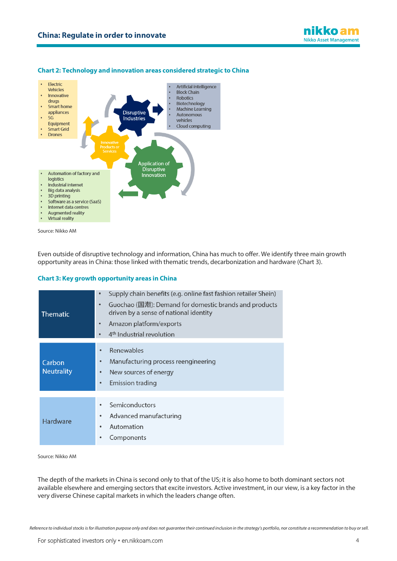

#### **Chart 2: Technology and innovation areas considered strategic to China**



Source: Nikko AM

Even outside of disruptive technology and information, China has much to offer. We identify three main growth opportunity areas in China: those linked with thematic trends, decarbonization and hardware (Chart 3).

#### **Chart 3: Key growth opportunity areas in China**

| <b>Thematic</b>             | Supply chain benefits (e.g. online fast fashion retailer Shein)<br>$\bullet$<br>Guochao (国潮): Demand for domestic brands and products<br>$\bullet$<br>driven by a sense of national identity<br>Amazon platform/exports<br>$\bullet$<br>4 <sup>th</sup> Industrial revolution |
|-----------------------------|-------------------------------------------------------------------------------------------------------------------------------------------------------------------------------------------------------------------------------------------------------------------------------|
| Carbon<br><b>Neutrality</b> | Renewables<br>Manufacturing process reengineering<br>New sources of energy<br><b>Emission trading</b><br>$\bullet$                                                                                                                                                            |
| <b>Hardware</b>             | Semiconductors<br>Advanced manufacturing<br>٠<br>Automation<br>٠<br>Components                                                                                                                                                                                                |

Source: Nikko AM

The depth of the markets in China is second only to that of the US; it is also home to both dominant sectors not available elsewhere and emerging sectors that excite investors. Active investment, in our view, is a key factor in the very diverse Chinese capital markets in which the leaders change often.

*Reference to individual stocks is for illustration purpose only and does not guarantee their continued inclusion in the strategy's portfolio, nor constitute a recommendation to buy or sell.*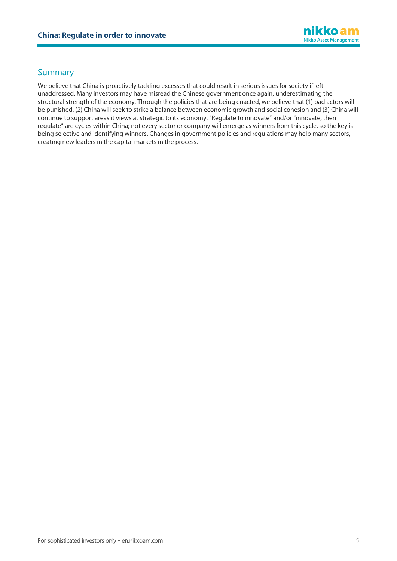

## Summary

We believe that China is proactively tackling excesses that could result in serious issues for society if left unaddressed. Many investors may have misread the Chinese government once again, underestimating the structural strength of the economy. Through the policies that are being enacted, we believe that (1) bad actors will be punished, (2) China will seek to strike a balance between economic growth and social cohesion and (3) China will continue to support areas it views at strategic to its economy. "Regulate to innovate" and/or "innovate, then regulate" are cycles within China; not every sector or company will emerge as winners from this cycle, so the key is being selective and identifying winners. Changes in government policies and regulations may help many sectors, creating new leaders in the capital markets in the process.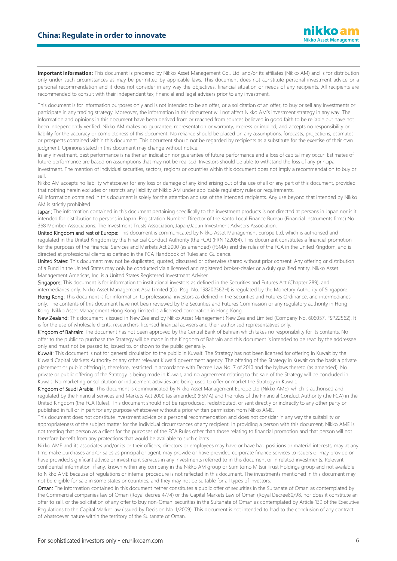Important information: This document is prepared by Nikko Asset Management Co., Ltd. and/or its affiliates (Nikko AM) and is for distribution only under such circumstances as may be permitted by applicable laws. This document does not constitute personal investment advice or a personal recommendation and it does not consider in any way the objectives, financial situation or needs of any recipients. All recipients are recommended to consult with their independent tax, financial and legal advisers prior to any investment.

This document is for information purposes only and is not intended to be an offer, or a solicitation of an offer, to buy or sell any investments or participate in any trading strategy. Moreover, the information in this document will not affect Nikko AM's investment strategy in any way. The information and opinions in this document have been derived from or reached from sources believed in good faith to be reliable but have not been independently verified. Nikko AM makes no guarantee, representation or warranty, express or implied, and accepts no responsibility or liability for the accuracy or completeness of this document. No reliance should be placed on any assumptions, forecasts, projections, estimates or prospects contained within this document. This document should not be regarded by recipients as a substitute for the exercise of their own judgment. Opinions stated in this document may change without notice.

In any investment, past performance is neither an indication nor guarantee of future performance and a loss of capital may occur. Estimates of future performance are based on assumptions that may not be realised. Investors should be able to withstand the loss of any principal investment. The mention of individual securities, sectors, regions or countries within this document does not imply a recommendation to buy or sell.

Nikko AM accepts no liability whatsoever for any loss or damage of any kind arising out of the use of all or any part of this document, provided that nothing herein excludes or restricts any liability of Nikko AM under applicable regulatory rules or requirements.

All information contained in this document is solely for the attention and use of the intended recipients. Any use beyond that intended by Nikko AM is strictly prohibited.

Japan: The information contained in this document pertaining specifically to the investment products is not directed at persons in Japan nor is it intended for distribution to persons in Japan. Registration Number: Director of the Kanto Local Finance Bureau (Financial Instruments firms) No. 368 Member Associations: The Investment Trusts Association, Japan/Japan Investment Advisers Association.

United Kingdom and rest of Europe: This document is communicated by Nikko Asset Management Europe Ltd, which is authorised and regulated in the United Kingdom by the Financial Conduct Authority (the FCA) (FRN 122084). This document constitutes a financial promotion for the purposes of the Financial Services and Markets Act 2000 (as amended) (FSMA) and the rules of the FCA in the United Kingdom, and is directed at professional clients as defined in the FCA Handbook of Rules and Guidance.

United States: This document may not be duplicated, quoted, discussed or otherwise shared without prior consent. Any offering or distribution of a Fund in the United States may only be conducted via a licensed and registered broker-dealer or a duly qualified entity. Nikko Asset Management Americas, Inc. is a United States Registered Investment Adviser.

Singapore: This document is for information to institutional investors as defined in the Securities and Futures Act (Chapter 289), and intermediaries only. Nikko Asset Management Asia Limited (Co. Reg. No. 198202562H) is regulated by the Monetary Authority of Singapore. Hong Kong: This document is for information to professional investors as defined in the Securities and Futures Ordinance, and intermediaries only. The contents of this document have not been reviewed by the Securities and Futures Commission or any regulatory authority in Hong Kong. Nikko Asset Management Hong Kong Limited is a licensed corporation in Hong Kong.

New Zealand: This document is issued in New Zealand by Nikko Asset Management New Zealand Limited (Company No. 606057, FSP22562). It is for the use of wholesale clients, researchers, licensed financial advisers and their authorised representatives only.

Kingdom of Bahrain: The document has not been approved by the Central Bank of Bahrain which takes no responsibility for its contents. No offer to the public to purchase the Strategy will be made in the Kingdom of Bahrain and this document is intended to be read by the addressee only and must not be passed to, issued to, or shown to the public generally.

Kuwait: This document is not for general circulation to the public in Kuwait. The Strategy has not been licensed for offering in Kuwait by the Kuwaiti Capital Markets Authority or any other relevant Kuwaiti government agency. The offering of the Strategy in Kuwait on the basis a private placement or public offering is, therefore, restricted in accordance with Decree Law No. 7 of 2010 and the bylaws thereto (as amended). No private or public offering of the Strategy is being made in Kuwait, and no agreement relating to the sale of the Strategy will be concluded in Kuwait. No marketing or solicitation or inducement activities are being used to offer or market the Strategy in Kuwait.

Kingdom of Saudi Arabia: This document is communicated by Nikko Asset Management Europe Ltd (Nikko AME), which is authorised and regulated by the Financial Services and Markets Act 2000 (as amended) (FSMA) and the rules of the Financial Conduct Authority (the FCA) in the United Kingdom (the FCA Rules). This document should not be reproduced, redistributed, or sent directly or indirectly to any other party or published in full or in part for any purpose whatsoever without a prior written permission from Nikko AME.

This document does not constitute investment advice or a personal recommendation and does not consider in any way the suitability or appropriateness of the subject matter for the individual circumstances of any recipient. In providing a person with this document, Nikko AME is not treating that person as a client for the purposes of the FCA Rules other than those relating to financial promotion and that person will not therefore benefit from any protections that would be available to such clients.

Nikko AME and its associates and/or its or their officers, directors or employees may have or have had positions or material interests, may at any time make purchases and/or sales as principal or agent, may provide or have provided corporate finance services to issuers or may provide or have provided significant advice or investment services in any investments referred to in this document or in related investments. Relevant confidential information, if any, known within any company in the Nikko AM group or Sumitomo Mitsui Trust Holdings group and not available to Nikko AME because of regulations or internal procedure is not reflected in this document. The investments mentioned in this document may not be eligible for sale in some states or countries, and they may not be suitable for all types of investors.

Oman: The information contained in this document nether constitutes a public offer of securities in the Sultanate of Oman as contemplated by the Commercial companies law of Oman (Royal decree 4/74) or the Capital Markets Law of Oman (Royal Decree80/98, nor does it constitute an offer to sell, or the solicitation of any offer to buy non-Omani securities in the Sultanate of Oman as contemplated by Article 139 of the Executive Regulations to the Capital Market law (issued by Decision No. 1/2009). This document is not intended to lead to the conclusion of any contract of whatsoever nature within the territory of the Sultanate of Oman.